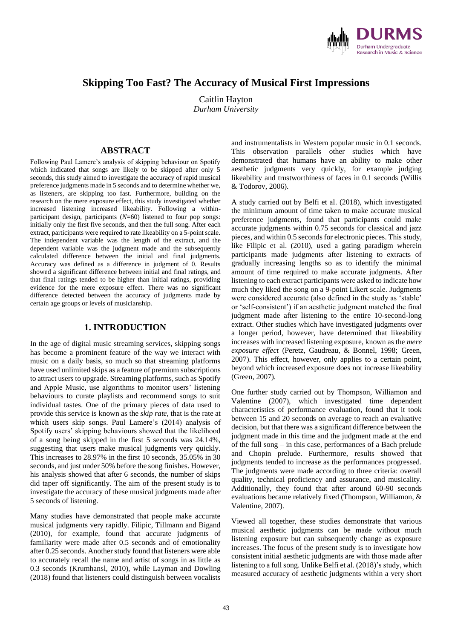

# **Skipping Too Fast? The Accuracy of Musical First Impressions**

Caitlin Hayton *Durham University*

## **ABSTRACT**

Following Paul Lamere's analysis of skipping behaviour on Spotify which indicated that songs are likely to be skipped after only 5 seconds, this study aimed to investigate the accuracy of rapid musical preference judgments made in 5 seconds and to determine whether we, as listeners, are skipping too fast. Furthermore, building on the research on the mere exposure effect, this study investigated whether increased listening increased likeability. Following a withinparticipant design, participants (*N*=60) listened to four pop songs: initially only the first five seconds, and then the full song. After each extract, participants were required to rate likeability on a 5-point scale. The independent variable was the length of the extract, and the dependent variable was the judgment made and the subsequently calculated difference between the initial and final judgments. Accuracy was defined as a difference in judgment of 0. Results showed a significant difference between initial and final ratings, and that final ratings tended to be higher than initial ratings, providing evidence for the mere exposure effect. There was no significant difference detected between the accuracy of judgments made by certain age groups or levels of musicianship.

#### **1. INTRODUCTION**

In the age of digital music streaming services, skipping songs has become a prominent feature of the way we interact with music on a daily basis, so much so that streaming platforms have used unlimited skips as a feature of premium subscriptions to attract users to upgrade. Streaming platforms, such as Spotify and Apple Music, use algorithms to monitor users' listening behaviours to curate playlists and recommend songs to suit individual tastes. One of the primary pieces of data used to provide this service is known as the *skip rate*, that is the rate at which users skip songs. Paul Lamere's (2014) analysis of Spotify users' skipping behaviours showed that the likelihood of a song being skipped in the first 5 seconds was 24.14%, suggesting that users make musical judgments very quickly. This increases to 28.97% in the first 10 seconds, 35.05% in 30 seconds, and just under 50% before the song finishes. However, his analysis showed that after 6 seconds, the number of skips did taper off significantly. The aim of the present study is to investigate the accuracy of these musical judgments made after 5 seconds of listening.

Many studies have demonstrated that people make accurate musical judgments very rapidly. Filipic, Tillmann and Bigand (2010), for example, found that accurate judgments of familiarity were made after 0.5 seconds and of emotionality after 0.25 seconds. Another study found that listeners were able to accurately recall the name and artist of songs in as little as 0.3 seconds (Krumhansl, 2010), while Layman and Dowling (2018) found that listeners could distinguish between vocalists

and instrumentalists in Western popular music in 0.1 seconds. This observation parallels other studies which have demonstrated that humans have an ability to make other aesthetic judgments very quickly, for example judging likeability and trustworthiness of faces in 0.1 seconds (Willis & Todorov, 2006).

A study carried out by Belfi et al. (2018), which investigated the minimum amount of time taken to make accurate musical preference judgments, found that participants could make accurate judgments within 0.75 seconds for classical and jazz pieces, and within 0.5 seconds for electronic pieces. This study, like Filipic et al. (2010), used a gating paradigm wherein participants made judgments after listening to extracts of gradually increasing lengths so as to identify the minimal amount of time required to make accurate judgments. After listening to each extract participants were asked to indicate how much they liked the song on a 9-point Likert scale. Judgments were considered accurate (also defined in the study as 'stable' or 'self-consistent') if an aesthetic judgment matched the final judgment made after listening to the entire 10-second-long extract. Other studies which have investigated judgments over a longer period, however, have determined that likeability increases with increased listening exposure, known as the *mere exposure effect* (Peretz, Gaudreau, & Bonnel, 1998; Green, 2007). This effect, however, only applies to a certain point, beyond which increased exposure does not increase likeability (Green, 2007).

One further study carried out by Thompson, Williamon and Valentine (2007), which investigated time dependent characteristics of performance evaluation, found that it took between 15 and 20 seconds on average to reach an evaluative decision, but that there was a significant difference between the judgment made in this time and the judgment made at the end of the full song – in this case, performances of a Bach prelude and Chopin prelude. Furthermore, results showed that judgments tended to increase as the performances progressed. The iudgments were made according to three criteria: overall quality, technical proficiency and assurance, and musicality. Additionally, they found that after around 60-90 seconds evaluations became relatively fixed (Thompson, Williamon, & Valentine, 2007).

Viewed all together, these studies demonstrate that various musical aesthetic judgments can be made without much listening exposure but can subsequently change as exposure increases. The focus of the present study is to investigate how consistent initial aesthetic judgments are with those made after listening to a full song. Unlike Belfi et al. (2018)'s study, which measured accuracy of aesthetic judgments within a very short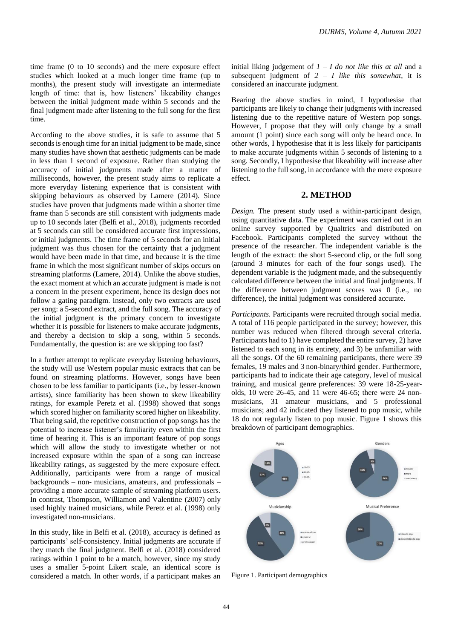time frame (0 to 10 seconds) and the mere exposure effect studies which looked at a much longer time frame (up to months), the present study will investigate an intermediate length of time: that is, how listeners' likeability changes between the initial judgment made within 5 seconds and the final judgment made after listening to the full song for the first time.

According to the above studies, it is safe to assume that 5 seconds is enough time for an initial judgment to be made, since many studies have shown that aesthetic judgments can be made in less than 1 second of exposure. Rather than studying the accuracy of initial judgments made after a matter of milliseconds, however, the present study aims to replicate a more everyday listening experience that is consistent with skipping behaviours as observed by Lamere (2014). Since studies have proven that judgments made within a shorter time frame than 5 seconds are still consistent with judgments made up to 10 seconds later (Belfi et al., 2018), judgments recorded at 5 seconds can still be considered accurate first impressions, or initial judgments. The time frame of 5 seconds for an initial judgment was thus chosen for the certainty that a judgment would have been made in that time, and because it is the time frame in which the most significant number of skips occurs on streaming platforms (Lamere, 2014). Unlike the above studies, the exact moment at which an accurate judgment is made is not a concern in the present experiment, hence its design does not follow a gating paradigm. Instead, only two extracts are used per song: a 5-second extract, and the full song. The accuracy of the initial judgment is the primary concern to investigate whether it is possible for listeners to make accurate judgments, and thereby a decision to skip a song, within 5 seconds. Fundamentally, the question is: are we skipping too fast?

In a further attempt to replicate everyday listening behaviours, the study will use Western popular music extracts that can be found on streaming platforms. However, songs have been chosen to be less familiar to participants (i.e., by lesser-known artists), since familiarity has been shown to skew likeability ratings, for example Peretz et al. (1998) showed that songs which scored higher on familiarity scored higher on likeability. That being said, the repetitive construction of pop songs has the potential to increase listener's familiarity even within the first time of hearing it. This is an important feature of pop songs which will allow the study to investigate whether or not increased exposure within the span of a song can increase likeability ratings, as suggested by the mere exposure effect. Additionally, participants were from a range of musical backgrounds – non- musicians, amateurs, and professionals – providing a more accurate sample of streaming platform users. In contrast, Thompson, Williamon and Valentine (2007) only used highly trained musicians, while Peretz et al. (1998) only investigated non-musicians.

In this study, like in Belfi et al. (2018), accuracy is defined as participants' self-consistency. Initial judgments are accurate if they match the final judgment. Belfi et al. (2018) considered ratings within 1 point to be a match, however, since my study uses a smaller 5-point Likert scale, an identical score is considered a match. In other words, if a participant makes an

initial liking judgement of  $I - I$  *do not like this at all and a* subsequent judgment of *2 – I like this somewhat*, it is considered an inaccurate judgment.

Bearing the above studies in mind, I hypothesise that participants are likely to change their judgments with increased listening due to the repetitive nature of Western pop songs. However, I propose that they will only change by a small amount (1 point) since each song will only be heard once. In other words, I hypothesise that it is less likely for participants to make accurate judgments within 5 seconds of listening to a song. Secondly, I hypothesise that likeability will increase after listening to the full song, in accordance with the mere exposure effect.

#### **2. METHOD**

*Design.* The present study used a within-participant design, using quantitative data. The experiment was carried out in an online survey supported by Qualtrics and distributed on Facebook. Participants completed the survey without the presence of the researcher. The independent variable is the length of the extract: the short 5-second clip, or the full song (around 3 minutes for each of the four songs used). The dependent variable is the judgment made, and the subsequently calculated difference between the initial and final judgments. If the difference between judgment scores was 0 (i.e., no difference), the initial judgment was considered accurate.

*Participants.* Participants were recruited through social media. A total of 116 people participated in the survey; however, this number was reduced when filtered through several criteria. Participants had to 1) have completed the entire survey, 2) have listened to each song in its entirety, and 3) be unfamiliar with all the songs. Of the 60 remaining participants, there were 39 females, 19 males and 3 non-binary/third gender. Furthermore, participants had to indicate their age category, level of musical training, and musical genre preferences: 39 were 18-25-yearolds, 10 were 26-45, and 11 were 46-65; there were 24 nonmusicians, 31 amateur musicians, and 5 professional musicians; and 42 indicated they listened to pop music, while 18 do not regularly listen to pop music. Figure 1 shows this breakdown of participant demographics.



Figure 1. Participant demographics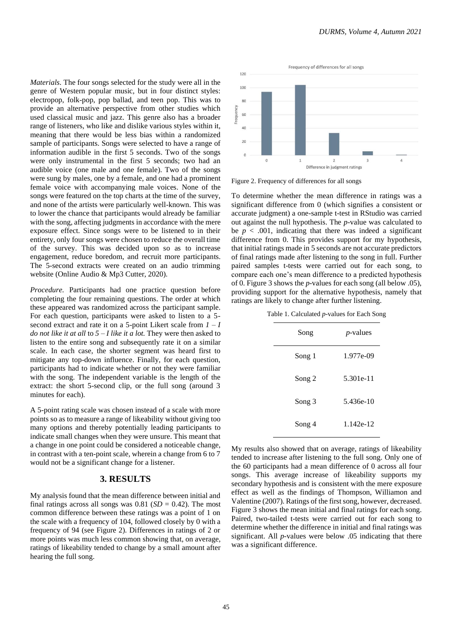*Materials.* The four songs selected for the study were all in the genre of Western popular music, but in four distinct styles: electropop, folk-pop, pop ballad, and teen pop. This was to provide an alternative perspective from other studies which used classical music and jazz. This genre also has a broader range of listeners, who like and dislike various styles within it, meaning that there would be less bias within a randomized sample of participants. Songs were selected to have a range of information audible in the first 5 seconds. Two of the songs were only instrumental in the first 5 seconds; two had an audible voice (one male and one female). Two of the songs were sung by males, one by a female, and one had a prominent female voice with accompanying male voices. None of the songs were featured on the top charts at the time of the survey, and none of the artists were particularly well-known. This was to lower the chance that participants would already be familiar with the song, affecting judgments in accordance with the mere exposure effect. Since songs were to be listened to in their entirety, only four songs were chosen to reduce the overall time of the survey. This was decided upon so as to increase engagement, reduce boredom, and recruit more participants. The 5-second extracts were created on an audio trimming website (Online Audio & Mp3 Cutter, 2020).

*Procedure.* Participants had one practice question before completing the four remaining questions. The order at which these appeared was randomized across the participant sample. For each question, participants were asked to listen to a 5 second extract and rate it on a 5-point Likert scale from *1 – I do not like it at all* to *5 – I like it a lot.* They were then asked to listen to the entire song and subsequently rate it on a similar scale. In each case, the shorter segment was heard first to mitigate any top-down influence. Finally, for each question, participants had to indicate whether or not they were familiar with the song. The independent variable is the length of the extract: the short 5-second clip, or the full song (around 3 minutes for each).

A 5-point rating scale was chosen instead of a scale with more points so as to measure a range of likeability without giving too many options and thereby potentially leading participants to indicate small changes when they were unsure. This meant that a change in one point could be considered a noticeable change, in contrast with a ten-point scale, wherein a change from 6 to 7 would not be a significant change for a listener.

### **3. RESULTS**

My analysis found that the mean difference between initial and final ratings across all songs was  $0.81$  (*SD* = 0.42). The most common difference between these ratings was a point of 1 on the scale with a frequency of 104, followed closely by 0 with a frequency of 94 (see Figure 2). Differences in ratings of 2 or more points was much less common showing that, on average, ratings of likeability tended to change by a small amount after hearing the full song.



Figure 2. Frequency of differences for all songs

To determine whether the mean difference in ratings was a significant difference from 0 (which signifies a consistent or accurate judgment) a one-sample t-test in RStudio was carried out against the null hypothesis. The *p*-value was calculated to be  $p < .001$ , indicating that there was indeed a significant difference from 0. This provides support for my hypothesis, that initial ratings made in 5 seconds are not accurate predictors of final ratings made after listening to the song in full. Further paired samples t-tests were carried out for each song, to compare each one's mean difference to a predicted hypothesis of 0. Figure 3 shows the *p*-values for each song (all below .05), providing support for the alternative hypothesis, namely that ratings are likely to change after further listening.

Table 1. Calculated *p-*values for Each Song

| Song   | $p$ -values |
|--------|-------------|
| Song 1 | 1.977e-09   |
| Song 2 | 5.301e-11   |
| Song 3 | 5.436e-10   |
| Song 4 | 1.142e-12   |

My results also showed that on average, ratings of likeability tended to increase after listening to the full song. Only one of the 60 participants had a mean difference of 0 across all four songs. This average increase of likeability supports my secondary hypothesis and is consistent with the mere exposure effect as well as the findings of Thompson, Williamon and Valentine (2007). Ratings of the first song, however, decreased. Figure 3 shows the mean initial and final ratings for each song. Paired, two-tailed t-tests were carried out for each song to determine whether the difference in initial and final ratings was significant. All *p*-values were below .05 indicating that there was a significant difference.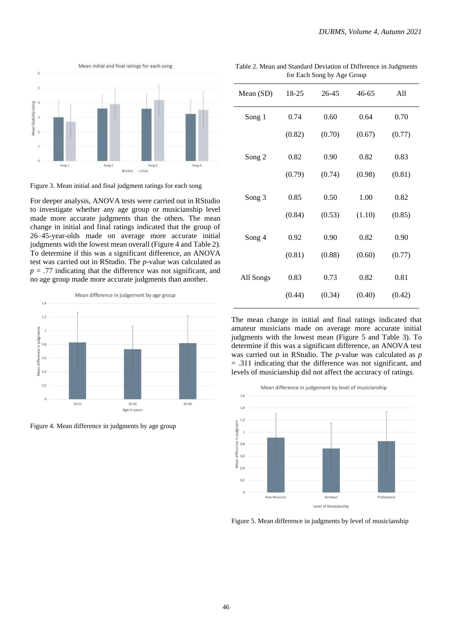

Figure 3. Mean initial and final judgment ratings for each song

For deeper analysis, ANOVA tests were carried out in RStudio to investigate whether any age group or musicianship level made more accurate judgments than the others. The mean change in initial and final ratings indicated that the group of 26–45-year-olds made on average more accurate initial judgments with the lowest mean overall (Figure 4 and Table 2). To determine if this was a significant difference, an ANOVA test was carried out in RStudio. The *p*-value was calculated as  $p = .77$  indicating that the difference was not significant, and no age group made more accurate judgments than another.



Figure 4. Mean difference in judgments by age group

Table 2. Mean and Standard Deviation of Difference in Judgments for Each Song by Age Group

| Mean (SD) | 18-25  | 26-45  | $46 - 65$ | All    |
|-----------|--------|--------|-----------|--------|
| Song 1    | 0.74   | 0.60   | 0.64      | 0.70   |
|           | (0.82) | (0.70) | (0.67)    | (0.77) |
| Song 2    | 0.82   | 0.90   | 0.82      | 0.83   |
|           | (0.79) | (0.74) | (0.98)    | (0.81) |
| Song 3    | 0.85   | 0.50   | 1.00      | 0.82   |
|           | (0.84) | (0.53) | (1.10)    | (0.85) |
| Song 4    | 0.92   | 0.90   | 0.82      | 0.90   |
|           | (0.81) | (0.88) | (0.60)    | (0.77) |
| All Songs | 0.83   | 0.73   | 0.82      | 0.81   |
|           | (0.44) | (0.34) | (0.40)    | (0.42) |

The mean change in initial and final ratings indicated that amateur musicians made on average more accurate initial judgments with the lowest mean (Figure 5 and Table 3). To determine if this was a significant difference, an ANOVA test was carried out in RStudio. The *p*-value was calculated as *p*  = .311 indicating that the difference was not significant, and levels of musicianship did not affect the accuracy of ratings.



Figure 5. Mean difference in judgments by level of musicianship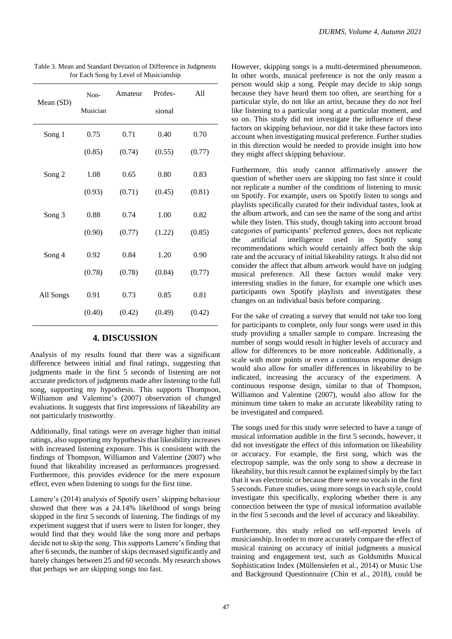| Mean (SD) | Non-<br>Musician | Amateur | Profes-<br>sional | All    |
|-----------|------------------|---------|-------------------|--------|
| Song 1    | 0.75             | 0.71    | 0.40              | 0.70   |
|           | (0.85)           | (0.74)  | (0.55)            | (0.77) |
| Song 2    | 1.08             | 0.65    | 0.80              | 0.83   |
|           | (0.93)           | (0.71)  | (0.45)            | (0.81) |
| Song 3    | 0.88             | 0.74    | 1.00              | 0.82   |
|           | (0.90)           | (0.77)  | (1.22)            | (0.85) |
| Song 4    | 0.92             | 0.84    | 1.20              | 0.90   |
|           | (0.78)           | (0.78)  | (0.84)            | (0.77) |
| All Songs | 0.91             | 0.73    | 0.85              | 0.81   |
|           | (0.40)           | (0.42)  | (0.49)            | (0.42) |

Table 3. Mean and Standard Deviation of Difference in Judgments for Each Song by Level of Musicianship

### **4. DISCUSSION**

Analysis of my results found that there was a significant difference between initial and final ratings, suggesting that judgments made in the first 5 seconds of listening are not accurate predictors of judgments made after listening to the full song, supporting my hypothesis. This supports Thompson, Williamon and Valentine's (2007) observation of changed evaluations. It suggests that first impressions of likeability are not particularly trustworthy.

Additionally, final ratings were on average higher than initial ratings, also supporting my hypothesis that likeability increases with increased listening exposure. This is consistent with the findings of Thompson, Williamon and Valentine (2007) who found that likeability increased as performances progressed. Furthermore, this provides evidence for the mere exposure effect, even when listening to songs for the first time.

Lamere's (2014) analysis of Spotify users' skipping behaviour showed that there was a 24.14% likelihood of songs being skipped in the first 5 seconds of listening. The findings of my experiment suggest that if users were to listen for longer, they would find that they would like the song more and perhaps decide not to skip the song. This supports Lamere's finding that after 6 seconds, the number of skips decreased significantly and barely changes between 25 and 60 seconds. My research shows that perhaps we are skipping songs too fast.

However, skipping songs is a multi-determined phenomenon. In other words, musical preference is not the only reason a person would skip a song. People may decide to skip songs because they have heard them too often, are searching for a particular style, do not like an artist, because they do not feel like listening to a particular song at a particular moment, and so on. This study did not investigate the influence of these factors on skipping behaviour, nor did it take these factors into account when investigating musical preference. Further studies in this direction would be needed to provide insight into how they might affect skipping behaviour.

Furthermore, this study cannot affirmatively answer the question of whether users are skipping too fast since it could not replicate a number of the conditions of listening to music on Spotify. For example, users on Spotify listen to songs and playlists specifically curated for their individual tastes, look at the album artwork, and can see the name of the song and artist while they listen. This study, though taking into account broad categories of participants' preferred genres, does not replicate the artificial intelligence used in Spotify song recommendations which would certainly affect both the skip rate and the accuracy of initial likeability ratings. It also did not consider the affect that album artwork would have on judging musical preference. All these factors would make very interesting studies in the future, for example one which uses participants own Spotify playlists and investigates these changes on an individual basis before comparing.

For the sake of creating a survey that would not take too long for participants to complete, only four songs were used in this study providing a smaller sample to compare. Increasing the number of songs would result in higher levels of accuracy and allow for differences to be more noticeable. Additionally, a scale with more points or even a continuous response design would also allow for smaller differences in likeability to be indicated, increasing the accuracy of the experiment. A continuous response design, similar to that of Thompson, Williamon and Valentine (2007), would also allow for the minimum time taken to make an accurate likeability rating to be investigated and compared.

The songs used for this study were selected to have a range of musical information audible in the first 5 seconds, however, it did not investigate the effect of this information on likeability or accuracy. For example, the first song, which was the electropop sample, was the only song to show a decrease in likeability, but this result cannot be explained simply by the fact that it was electronic or because there were no vocals in the first 5 seconds. Future studies, using more songs in each style, could investigate this specifically, exploring whether there is any connection between the type of musical information available in the first 5 seconds and the level of accuracy and likeability.

Furthermore, this study relied on self-reported levels of musicianship. In order to more accurately compare the effect of musical training on accuracy of initial judgments a musical training and engagement test, such as Goldsmiths Musical Sophistication Index (Müllensiefen et al., 2014) or Music Use and Background Questionnaire (Chin et al., 2018), could be